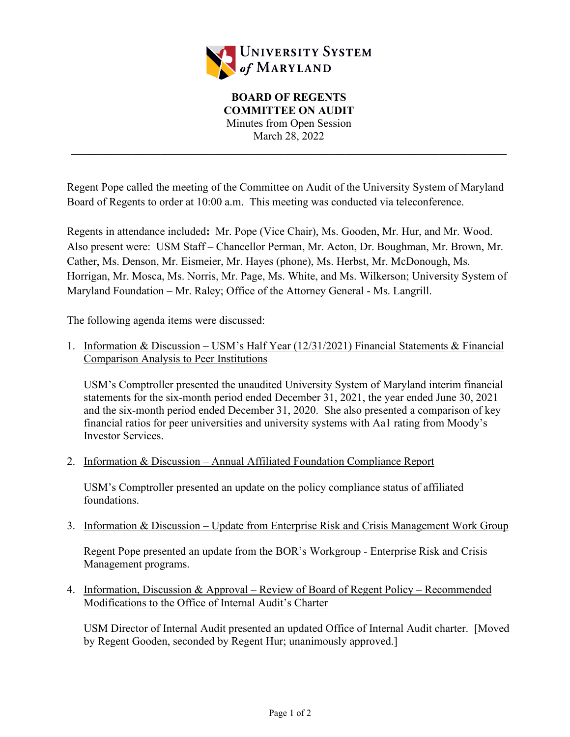

Regent Pope called the meeting of the Committee on Audit of the University System of Maryland Board of Regents to order at 10:00 a.m. This meeting was conducted via teleconference.

Regents in attendance included**:** Mr. Pope (Vice Chair), Ms. Gooden, Mr. Hur, and Mr. Wood. Also present were: USM Staff – Chancellor Perman, Mr. Acton, Dr. Boughman, Mr. Brown, Mr. Cather, Ms. Denson, Mr. Eismeier, Mr. Hayes (phone), Ms. Herbst, Mr. McDonough, Ms. Horrigan, Mr. Mosca, Ms. Norris, Mr. Page, Ms. White, and Ms. Wilkerson; University System of Maryland Foundation – Mr. Raley; Office of the Attorney General - Ms. Langrill.

The following agenda items were discussed:

1. Information & Discussion – USM's Half Year (12/31/2021) Financial Statements & Financial Comparison Analysis to Peer Institutions

USM's Comptroller presented the unaudited University System of Maryland interim financial statements for the six-month period ended December 31, 2021, the year ended June 30, 2021 and the six-month period ended December 31, 2020. She also presented a comparison of key financial ratios for peer universities and university systems with Aa1 rating from Moody's Investor Services.

2. Information & Discussion – Annual Affiliated Foundation Compliance Report

USM's Comptroller presented an update on the policy compliance status of affiliated foundations.

3. Information & Discussion – Update from Enterprise Risk and Crisis Management Work Group

Regent Pope presented an update from the BOR's Workgroup - Enterprise Risk and Crisis Management programs.

4. Information, Discussion & Approval – Review of Board of Regent Policy – Recommended Modifications to the Office of Internal Audit's Charter

USM Director of Internal Audit presented an updated Office of Internal Audit charter. [Moved by Regent Gooden, seconded by Regent Hur; unanimously approved.]